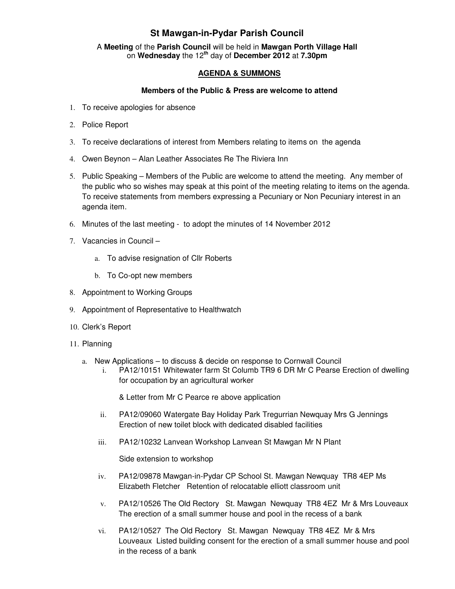## **St Mawgan-in-Pydar Parish Council**

A **Meeting** of the **Parish Council** will be held in **Mawgan Porth Village Hall** on **Wednesday** the 12**th** day of **December 2012** at **7.30pm** 

## **AGENDA & SUMMONS**

## **Members of the Public & Press are welcome to attend**

- 1. To receive apologies for absence
- 2. Police Report
- 3. To receive declarations of interest from Members relating to items on the agenda
- 4. Owen Beynon Alan Leather Associates Re The Riviera Inn
- 5. Public Speaking Members of the Public are welcome to attend the meeting. Any member of the public who so wishes may speak at this point of the meeting relating to items on the agenda. To receive statements from members expressing a Pecuniary or Non Pecuniary interest in an agenda item.
- 6. Minutes of the last meeting to adopt the minutes of 14 November 2012
- 7. Vacancies in Council
	- a. To advise resignation of Cllr Roberts
	- b. To Co-opt new members
- 8. Appointment to Working Groups
- 9. Appointment of Representative to Healthwatch
- 10. Clerk's Report
- 11. Planning
	- a. New Applications to discuss & decide on response to Cornwall Council
		- i. PA12/10151 Whitewater farm St Columb TR9 6 DR Mr C Pearse Erection of dwelling for occupation by an agricultural worker

& Letter from Mr C Pearce re above application

- ii. PA12/09060 Watergate Bay Holiday Park Tregurrian Newquay Mrs G Jennings Erection of new toilet block with dedicated disabled facilities
- iii. PA12/10232 Lanvean Workshop Lanvean St Mawgan Mr N Plant

Side extension to workshop

- iv. PA12/09878 Mawgan-in-Pydar CP School St. Mawgan Newquay TR8 4EP Ms Elizabeth Fletcher Retention of relocatable elliott classroom unit
- v. PA12/10526 The Old Rectory St. Mawgan Newquay TR8 4EZ Mr & Mrs Louveaux The erection of a small summer house and pool in the recess of a bank
- vi. PA12/10527 The Old Rectory St. Mawgan Newquay TR8 4EZ Mr & Mrs Louveaux Listed building consent for the erection of a small summer house and pool in the recess of a bank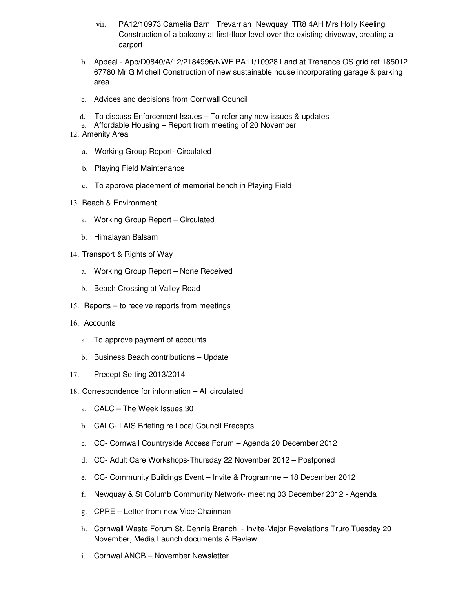- vii. PA12/10973 Camelia Barn Trevarrian Newquay TR8 4AH Mrs Holly Keeling Construction of a balcony at first-floor level over the existing driveway, creating a carport
- b. Appeal App/D0840/A/12/2184996/NWF PA11/10928 Land at Trenance OS grid ref 185012 67780 Mr G Michell Construction of new sustainable house incorporating garage & parking area
- c. Advices and decisions from Cornwall Council
- d. To discuss Enforcement Issues To refer any new issues & updates
- e. Affordable Housing Report from meeting of 20 November
- 12. Amenity Area
	- a. Working Group Report- Circulated
	- b. Playing Field Maintenance
	- c. To approve placement of memorial bench in Playing Field
- 13. Beach & Environment
	- a. Working Group Report Circulated
	- b. Himalayan Balsam
- 14. Transport & Rights of Way
	- a. Working Group Report None Received
	- b. Beach Crossing at Valley Road
- 15. Reports to receive reports from meetings
- 16. Accounts
	- a. To approve payment of accounts
	- b. Business Beach contributions Update
- 17. Precept Setting 2013/2014
- 18. Correspondence for information All circulated
	- a. CALC The Week Issues 30
	- b. CALC- LAIS Briefing re Local Council Precepts
	- c. CC- Cornwall Countryside Access Forum Agenda 20 December 2012
	- d. CC- Adult Care Workshops-Thursday 22 November 2012 Postponed
	- e. CC- Community Buildings Event Invite & Programme 18 December 2012
	- f. Newquay & St Columb Community Network- meeting 03 December 2012 Agenda
	- g. CPRE Letter from new Vice-Chairman
	- h. Cornwall Waste Forum St. Dennis Branch Invite-Major Revelations Truro Tuesday 20 November, Media Launch documents & Review
	- i. Cornwal ANOB November Newsletter